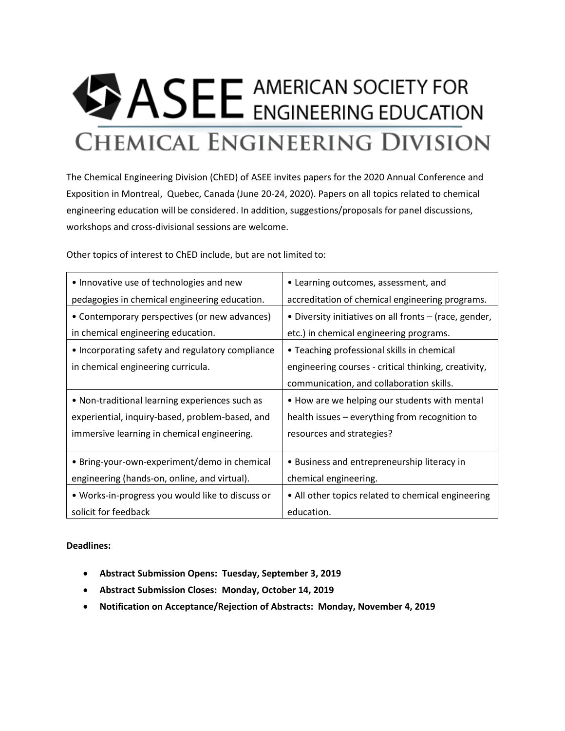## **BASEE** AMERICAN SOCIETY FOR **CHEMICAL ENGINEERING DIVISION**

The Chemical Engineering Division (ChED) of ASEE invites papers for the 2020 Annual Conference and Exposition in Montreal, Quebec, Canada (June 20-24, 2020). Papers on all topics related to chemical engineering education will be considered. In addition, suggestions/proposals for panel discussions, workshops and cross-divisional sessions are welcome.

Other topics of interest to ChED include, but are not limited to:

| • Innovative use of technologies and new         | • Learning outcomes, assessment, and                   |
|--------------------------------------------------|--------------------------------------------------------|
| pedagogies in chemical engineering education.    | accreditation of chemical engineering programs.        |
| • Contemporary perspectives (or new advances)    | • Diversity initiatives on all fronts – (race, gender, |
| in chemical engineering education.               | etc.) in chemical engineering programs.                |
| • Incorporating safety and regulatory compliance | • Teaching professional skills in chemical             |
| in chemical engineering curricula.               | engineering courses - critical thinking, creativity,   |
|                                                  | communication, and collaboration skills.               |
| • Non-traditional learning experiences such as   | • How are we helping our students with mental          |
| experiential, inquiry-based, problem-based, and  | health issues – everything from recognition to         |
| immersive learning in chemical engineering.      | resources and strategies?                              |
|                                                  |                                                        |
| • Bring-your-own-experiment/demo in chemical     | • Business and entrepreneurship literacy in            |
| engineering (hands-on, online, and virtual).     | chemical engineering.                                  |
| . Works-in-progress you would like to discuss or | • All other topics related to chemical engineering     |
| solicit for feedback                             | education.                                             |

## **Deadlines:**

- **Abstract Submission Opens: Tuesday, September 3, 2019**
- **Abstract Submission Closes: Monday, October 14, 2019**
- **Notification on Acceptance/Rejection of Abstracts: Monday, November 4, 2019**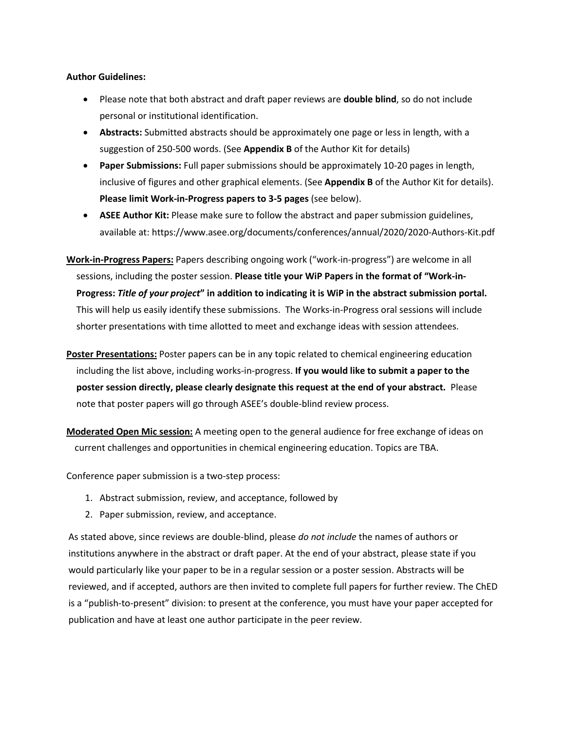## **Author Guidelines:**

- Please note that both abstract and draft paper reviews are **double blind**, so do not include personal or institutional identification.
- **Abstracts:** Submitted abstracts should be approximately one page or less in length, with a suggestion of 250-500 words. (See **Appendix B** of the Author Kit for details)
- **Paper Submissions:** Full paper submissions should be approximately 10-20 pages in length, inclusive of figures and other graphical elements. (See **Appendix B** of the Author Kit for details). **Please limit Work-in-Progress papers to 3-5 pages** (see below).
- **ASEE Author Kit:** Please make sure to follow the abstract and paper submission guidelines, available at: https://www.asee.org/documents/conferences/annual/2020/2020-Authors-Kit.pdf
- **Work-in-Progress Papers:** Papers describing ongoing work ("work-in-progress") are welcome in all sessions, including the poster session. **Please title your WiP Papers in the format of "Work-in-Progress:** *Title of your project***" in addition to indicating it is WiP in the abstract submission portal.**  This will help us easily identify these submissions. The Works-in-Progress oral sessions will include shorter presentations with time allotted to meet and exchange ideas with session attendees.
- **Poster Presentations:** Poster papers can be in any topic related to chemical engineering education including the list above, including works-in-progress. **If you would like to submit a paper to the poster session directly, please clearly designate this request at the end of your abstract.** Please note that poster papers will go through ASEE's double-blind review process.
- **Moderated Open Mic session:** A meeting open to the general audience for free exchange of ideas on current challenges and opportunities in chemical engineering education. Topics are TBA.

Conference paper submission is a two-step process:

- 1. Abstract submission, review, and acceptance, followed by
- 2. Paper submission, review, and acceptance.

As stated above, since reviews are double-blind, please *do not include* the names of authors or institutions anywhere in the abstract or draft paper. At the end of your abstract, please state if you would particularly like your paper to be in a regular session or a poster session. Abstracts will be reviewed, and if accepted, authors are then invited to complete full papers for further review. The ChED is a "publish-to-present" division: to present at the conference, you must have your paper accepted for publication and have at least one author participate in the peer review.